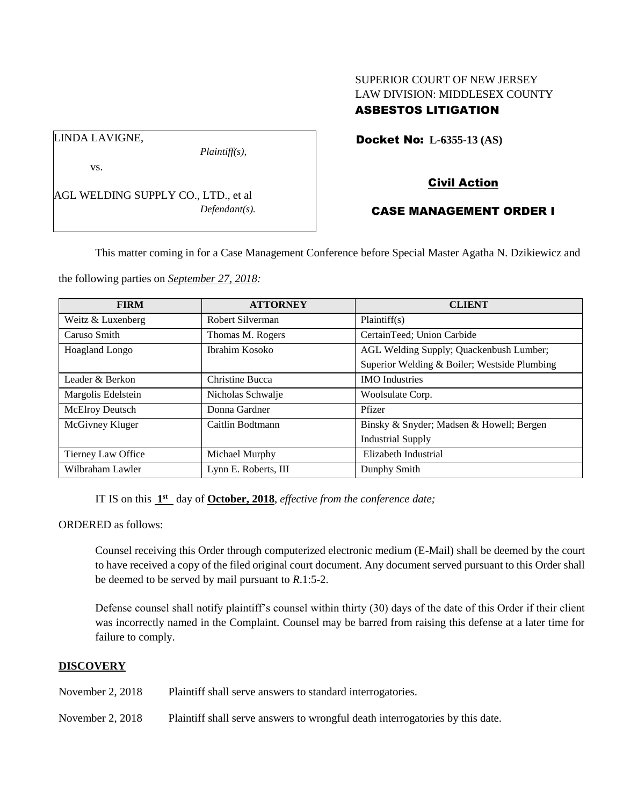# SUPERIOR COURT OF NEW JERSEY LAW DIVISION: MIDDLESEX COUNTY ASBESTOS LITIGATION

Docket No: **L-6355-13 (AS)** 

LINDA LAVIGNE,

vs.

AGL WELDING SUPPLY CO., LTD., et al *Defendant(s).*

*Plaintiff(s),*

Civil Action

# CASE MANAGEMENT ORDER I

This matter coming in for a Case Management Conference before Special Master Agatha N. Dzikiewicz and

the following parties on *September 27, 2018:*

| <b>FIRM</b>            | <b>ATTORNEY</b>      | <b>CLIENT</b>                                |
|------------------------|----------------------|----------------------------------------------|
| Weitz & Luxenberg      | Robert Silverman     | Plaintiff(s)                                 |
| Caruso Smith           | Thomas M. Rogers     | CertainTeed; Union Carbide                   |
| Hoagland Longo         | Ibrahim Kosoko       | AGL Welding Supply; Quackenbush Lumber;      |
|                        |                      | Superior Welding & Boiler; Westside Plumbing |
| Leader & Berkon        | Christine Bucca      | <b>IMO</b> Industries                        |
| Margolis Edelstein     | Nicholas Schwalje    | Woolsulate Corp.                             |
| <b>McElroy Deutsch</b> | Donna Gardner        | Pfizer                                       |
| McGivney Kluger        | Caitlin Bodtmann     | Binsky & Snyder; Madsen & Howell; Bergen     |
|                        |                      | <b>Industrial Supply</b>                     |
| Tierney Law Office     | Michael Murphy       | Elizabeth Industrial                         |
| Wilbraham Lawler       | Lynn E. Roberts, III | Dunphy Smith                                 |

IT IS on this  $1<sup>st</sup>$  day of **October, 2018**, *effective from the conference date*;

ORDERED as follows:

Counsel receiving this Order through computerized electronic medium (E-Mail) shall be deemed by the court to have received a copy of the filed original court document. Any document served pursuant to this Order shall be deemed to be served by mail pursuant to *R*.1:5-2.

Defense counsel shall notify plaintiff's counsel within thirty (30) days of the date of this Order if their client was incorrectly named in the Complaint. Counsel may be barred from raising this defense at a later time for failure to comply.

# **DISCOVERY**

November 2, 2018 Plaintiff shall serve answers to standard interrogatories.

November 2, 2018 Plaintiff shall serve answers to wrongful death interrogatories by this date.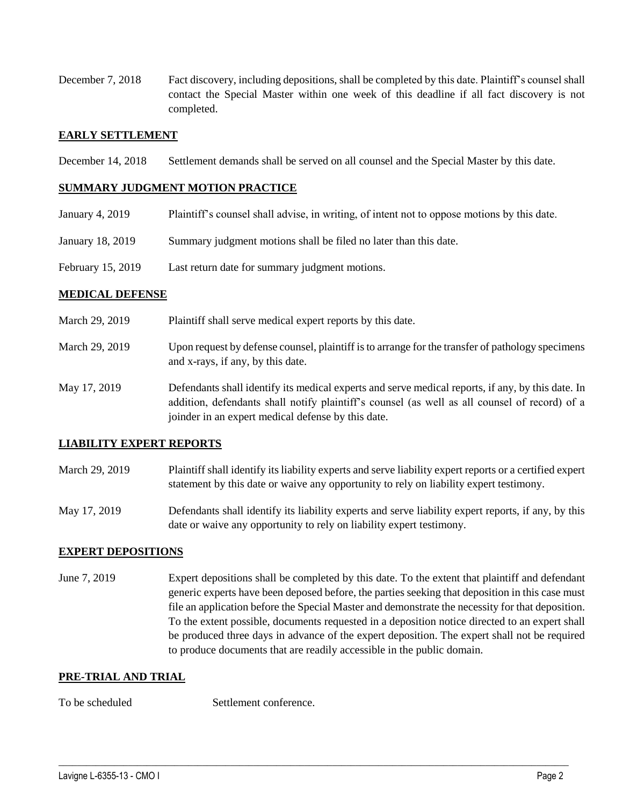December 7, 2018 Fact discovery, including depositions, shall be completed by this date. Plaintiff's counsel shall contact the Special Master within one week of this deadline if all fact discovery is not completed.

# **EARLY SETTLEMENT**

December 14, 2018 Settlement demands shall be served on all counsel and the Special Master by this date.

#### **SUMMARY JUDGMENT MOTION PRACTICE**

- January 4, 2019 Plaintiff's counsel shall advise, in writing, of intent not to oppose motions by this date.
- January 18, 2019 Summary judgment motions shall be filed no later than this date.

joinder in an expert medical defense by this date.

February 15, 2019 Last return date for summary judgment motions.

## **MEDICAL DEFENSE**

| March 29, 2019 | Plaintiff shall serve medical expert reports by this date.                                                                                                                                         |
|----------------|----------------------------------------------------------------------------------------------------------------------------------------------------------------------------------------------------|
| March 29, 2019 | Upon request by defense counsel, plaintiff is to arrange for the transfer of pathology specimens<br>and x-rays, if any, by this date.                                                              |
| May 17, 2019   | Defendants shall identify its medical experts and serve medical reports, if any, by this date. In<br>addition, defendants shall notify plaintiff's counsel (as well as all counsel of record) of a |

#### **LIABILITY EXPERT REPORTS**

- March 29, 2019 Plaintiff shall identify its liability experts and serve liability expert reports or a certified expert statement by this date or waive any opportunity to rely on liability expert testimony.
- May 17, 2019 Defendants shall identify its liability experts and serve liability expert reports, if any, by this date or waive any opportunity to rely on liability expert testimony.

## **EXPERT DEPOSITIONS**

June 7, 2019 Expert depositions shall be completed by this date. To the extent that plaintiff and defendant generic experts have been deposed before, the parties seeking that deposition in this case must file an application before the Special Master and demonstrate the necessity for that deposition. To the extent possible, documents requested in a deposition notice directed to an expert shall be produced three days in advance of the expert deposition. The expert shall not be required to produce documents that are readily accessible in the public domain.

 $\_$  ,  $\_$  ,  $\_$  ,  $\_$  ,  $\_$  ,  $\_$  ,  $\_$  ,  $\_$  ,  $\_$  ,  $\_$  ,  $\_$  ,  $\_$  ,  $\_$  ,  $\_$  ,  $\_$  ,  $\_$  ,  $\_$  ,  $\_$  ,  $\_$  ,  $\_$  ,  $\_$  ,  $\_$  ,  $\_$  ,  $\_$  ,  $\_$  ,  $\_$  ,  $\_$  ,  $\_$  ,  $\_$  ,  $\_$  ,  $\_$  ,  $\_$  ,  $\_$  ,  $\_$  ,  $\_$  ,  $\_$  ,  $\_$  ,

## **PRE-TRIAL AND TRIAL**

To be scheduled Settlement conference.